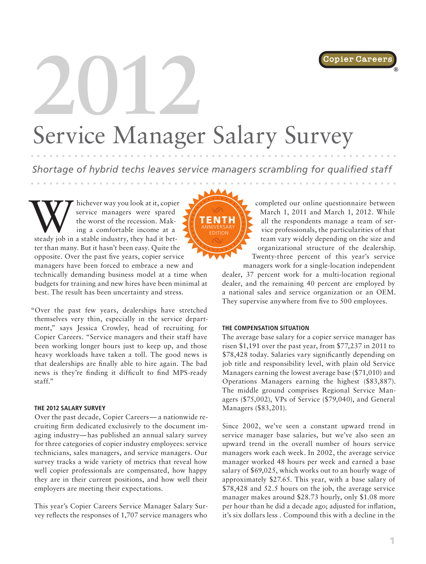

®

# **2012** Service Manager Salary Survey

*Shortage of hybrid techs leaves service managers scrambling for qualified staff*

Whichever way you look at it, copier<br>
service managers were spared<br>
the worst of the recession. Mak-<br>
ing a comfortable income at a<br>
steady job in a stable industry, they had it betservice managers were spared the worst of the recession. Making a comfortable income at a ter than many. But it hasn't been easy. Quite the opposite. Over the past five years, copier service managers have been forced to embrace a new and technically demanding business model at a time when budgets for training and new hires have been minimal at best. The result has been uncertainty and stress.

"Over the past few years, dealerships have stretched themselves very thin, especially in the service department," says Jessica Crowley, head of recruiting for Copier Careers. "Service managers and their staff have been working longer hours just to keep up, and those heavy workloads have taken a toll. The good news is that dealerships are finally able to hire again. The bad news is they're finding it difficult to find MPS-ready staff."

#### **THE 2012 SALARY SURVEY**

Over the past decade, Copier Careers— a nationwide recruiting firm dedicated exclusively to the document imaging industry—has published an annual salary survey for three categories of copier industry employees: service technicians, sales managers, and service managers. Our survey tracks a wide variety of metrics that reveal how well copier professionals are compensated, how happy they are in their current positions, and how well their employers are meeting their expectations.

This year's Copier Careers Service Manager Salary Survey reflects the responses of 1,707 service managers who



completed our online questionnaire between March 1, 2011 and March 1, 2012. While all the respondents manage a team of service professionals, the particularities of that team vary widely depending on the size and organizational structure of the dealership. Twenty-three percent of this year's service

managers work for a single-location independent dealer, 37 percent work for a multi-location regional dealer, and the remaining 40 percent are employed by a national sales and service organization or an OEM. They supervise anywhere from five to 500 employees.

### **THE COMPENSATION SITUATION**

The average base salary for a copier service manager has risen \$1,191 over the past year, from \$77,237 in 2011 to \$78,428 today. Salaries vary significantly depending on job title and responsibility level, with plain old Service Managers earning the lowest average base (\$71,010) and Operations Managers earning the highest (\$83,887). The middle ground comprises Regional Service Managers (\$75,002), VPs of Service (\$79,040), and General Managers (\$83,201).

Since 2002, we've seen a constant upward trend in service manager base salaries, but we've also seen an upward trend in the overall number of hours service managers work each week. In 2002, the average service manager worked 48 hours per week and earned a base salary of \$69,025, which works out to an hourly wage of approximately \$27.65. This year, with a base salary of \$78,428 and 52.5 hours on the job, the average service manager makes around \$28.73 hourly, only \$1.08 more per hour than he did a decade ago; adjusted for inflation, it's six dollars less . Compound this with a decline in the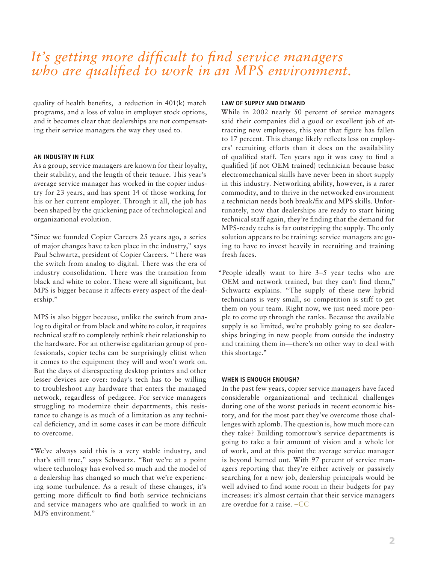# *It's getting more difficult to find service managers who are qualified to work in an MPS environment.*

quality of health benefits, a reduction in 401(k) match programs, and a loss of value in employer stock options, and it becomes clear that dealerships are not compensating their service managers the way they used to.

## **AN INDUSTRY IN FLUX**

As a group, service managers are known for their loyalty, their stability, and the length of their tenure. This year's average service manager has worked in the copier industry for 23 years, and has spent 14 of those working for his or her current employer. Through it all, the job has been shaped by the quickening pace of technological and organizational evolution.

"Since we founded Copier Careers 25 years ago, a series of major changes have taken place in the industry," says Paul Schwartz, president of Copier Careers. "There was the switch from analog to digital. There was the era of industry consolidation. There was the transition from black and white to color. These were all significant, but MPS is bigger because it affects every aspect of the dealership."

MPS is also bigger because, unlike the switch from analog to digital or from black and white to color, it requires technical staff to completely rethink their relationship to the hardware. For an otherwise egalitarian group of professionals, copier techs can be surprisingly elitist when it comes to the equipment they will and won't work on. But the days of disrespecting desktop printers and other lesser devices are over: today's tech has to be willing to troubleshoot any hardware that enters the managed network, regardless of pedigree. For service managers struggling to modernize their departments, this resistance to change is as much of a limitation as any technical deficiency, and in some cases it can be more difficult to overcome.

"We've always said this is a very stable industry, and that's still true," says Schwartz. "But we're at a point where technology has evolved so much and the model of a dealership has changed so much that we're experiencing some turbulence. As a result of these changes, it's getting more difficult to find both service technicians and service managers who are qualified to work in an MPS environment."

#### **LAW OF SUPPLY AND DEMAND**

While in 2002 nearly 50 percent of service managers said their companies did a good or excellent job of attracting new employees, this year that figure has fallen to 17 percent. This change likely reflects less on employers' recruiting efforts than it does on the availability of qualified staff. Ten years ago it was easy to find a qualified (if not OEM trained) technician because basic electromechanical skills have never been in short supply in this industry. Networking ability, however, is a rarer commodity, and to thrive in the networked environment a technician needs both break/fix and MPS skills. Unfortunately, now that dealerships are ready to start hiring technical staff again, they're finding that the demand for MPS-ready techs is far outstripping the supply. The only solution appears to be training: service managers are going to have to invest heavily in recruiting and training fresh faces.

"People ideally want to hire 3–5 year techs who are OEM and network trained, but they can't find them," Schwartz explains. "The supply of these new hybrid technicians is very small, so competition is stiff to get them on your team. Right now, we just need more people to come up through the ranks. Because the available supply is so limited, we're probably going to see dealerships bringing in new people from outside the industry and training them in—there's no other way to deal with this shortage."

### **WHEN IS ENOUGH ENOUGH?**

In the past few years, copier service managers have faced considerable organizational and technical challenges during one of the worst periods in recent economic history, and for the most part they've overcome those challenges with aplomb. The question is, how much more can they take? Building tomorrow's service departments is going to take a fair amount of vision and a whole lot of work, and at this point the average service manager is beyond burned out. With 97 percent of service managers reporting that they're either actively or passively searching for a new job, dealership principals would be well advised to find some room in their budgets for pay increases: it's almost certain that their service managers are overdue for a raise. –CC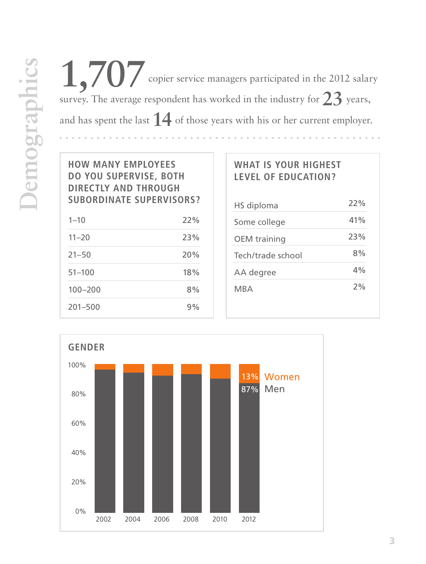1,707 copier service managers participated in the 2012 salary survey. The average respondent has worked in the industry for**23** years, and has spent the last **14** of those years with his or her current employer.

**HOW MANY EMPLOYEES DO YOU SUPERVISE, BOTH DIRECTLY AND THROUGH SUBORDINATE SUPERVISORS?**

| $1 - 10$    | 22% |
|-------------|-----|
| $11 - 20$   | 23% |
| $21 - 50$   | 20% |
| $51 - 100$  | 18% |
| $100 - 200$ | 8%  |
| $201 - 500$ | 9%  |

# **WHAT IS YOUR HIGHEST LEVEL OF EDUCATION?**

| HS diploma          | 22% |
|---------------------|-----|
| Some college        | 41% |
| <b>OEM</b> training | 23% |
| Tech/trade school   | 8%  |
| AA degree           | 4%  |
| MBA                 | 2%  |

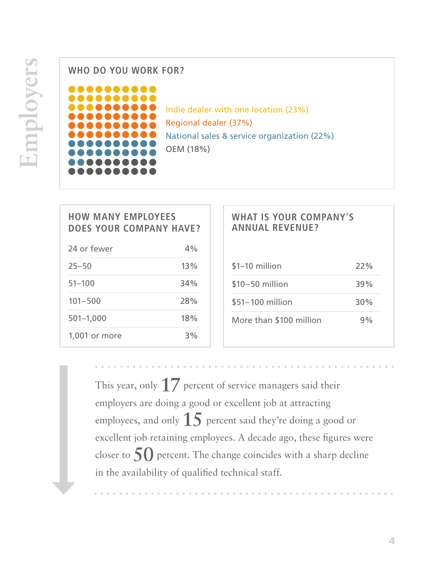**WHO DO YOU WORK FOR?**



Indie dealer with one location (23%) Regional dealer (37%) National sales & service organization (22%) OEM (18%)

| <b>HOW MANY EMPLOYEES</b><br><b>DOES YOUR COMPANY HAVE?</b> |     |
|-------------------------------------------------------------|-----|
| 24 or fewer                                                 | 4%  |
| $25 - 50$                                                   | 13% |
| $51 - 100$                                                  | 34% |
| $101 - 500$                                                 | 28% |
| $501 - 1,000$                                               | 18% |
| 1,001 or more                                               | 3%  |

# **WHAT IS YOUR COMPANY'S ANNUAL REVENUE?** \$1–10 million \$10–50 million \$51–100 million More than \$100 million 22% 39% 30% 9%

This year, only **17** percent of service managers said their employers are doing a good or excellent job at attracting employees, and only **15** percent said they're doing a good or excellent job retaining employees. A decade ago, these figures were closer to **50** percent. The change coincides with a sharp decline in the availability of qualified technical staff.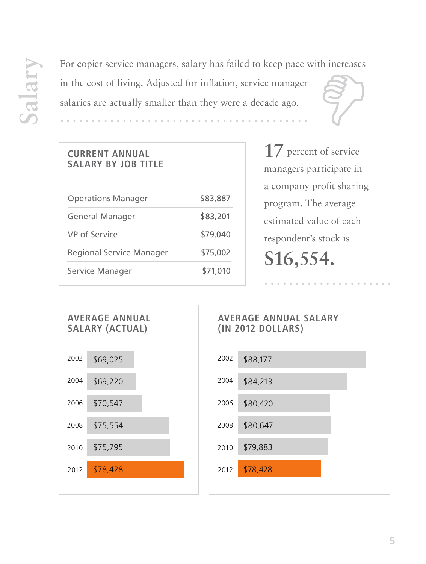For copier service managers, salary has failed to keep pace with increases<br>in the cost of living. Adjusted for inflation, service manager<br>salaries are actually smaller than they were a decade ago. in the cost of living. Adjusted for inflation, service manager

salaries are actually smaller than they were a decade ago.

# **CURRENT ANNUAL SALARY BY JOB TITLE**

| <b>Operations Manager</b>       | \$83,887 |
|---------------------------------|----------|
| <b>General Manager</b>          | \$83,201 |
| <b>VP</b> of Service            | \$79,040 |
| <b>Regional Service Manager</b> | \$75,002 |
| <b>Service Manager</b>          | \$71,010 |

**17** percent of service managers participate in a company profit sharing program. The average estimated value of each respondent's stock is **\$16,554.**

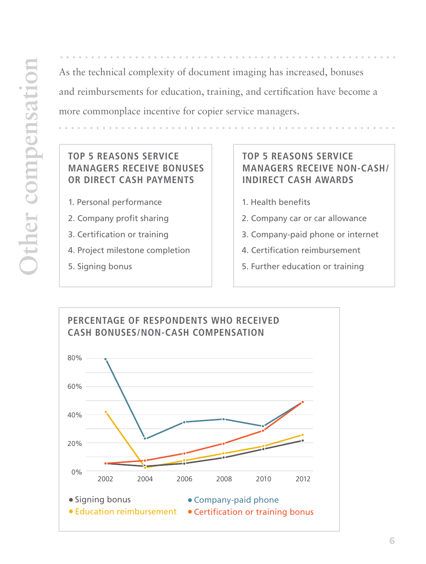As the technical complexity of document imaging has increased, bonuses and reimbursements for education, training, and certification have become a more commonplace incentive for copier service managers.

## **TOP 5 REASONS SERVICE MANAGERS RECEIVE BONUSES OR DIRECT CASH PAYMENTS**

- 1. Personal performance
- 2. Company profit sharing
- 3. Certification or training
- 4. Project milestone completion
- 5. Signing bonus

## **TOP 5 REASONS SERVICE MANAGERS RECEIVE NON-CASH/ INDIRECT CASH AWARDS**

- 1. Health benefits
- 2. Company car or car allowance
- 3. Company-paid phone or internet
- 4. Certification reimbursement
- 5. Further education or training

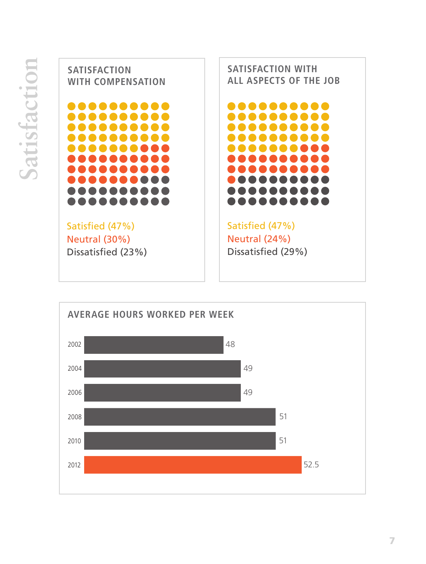